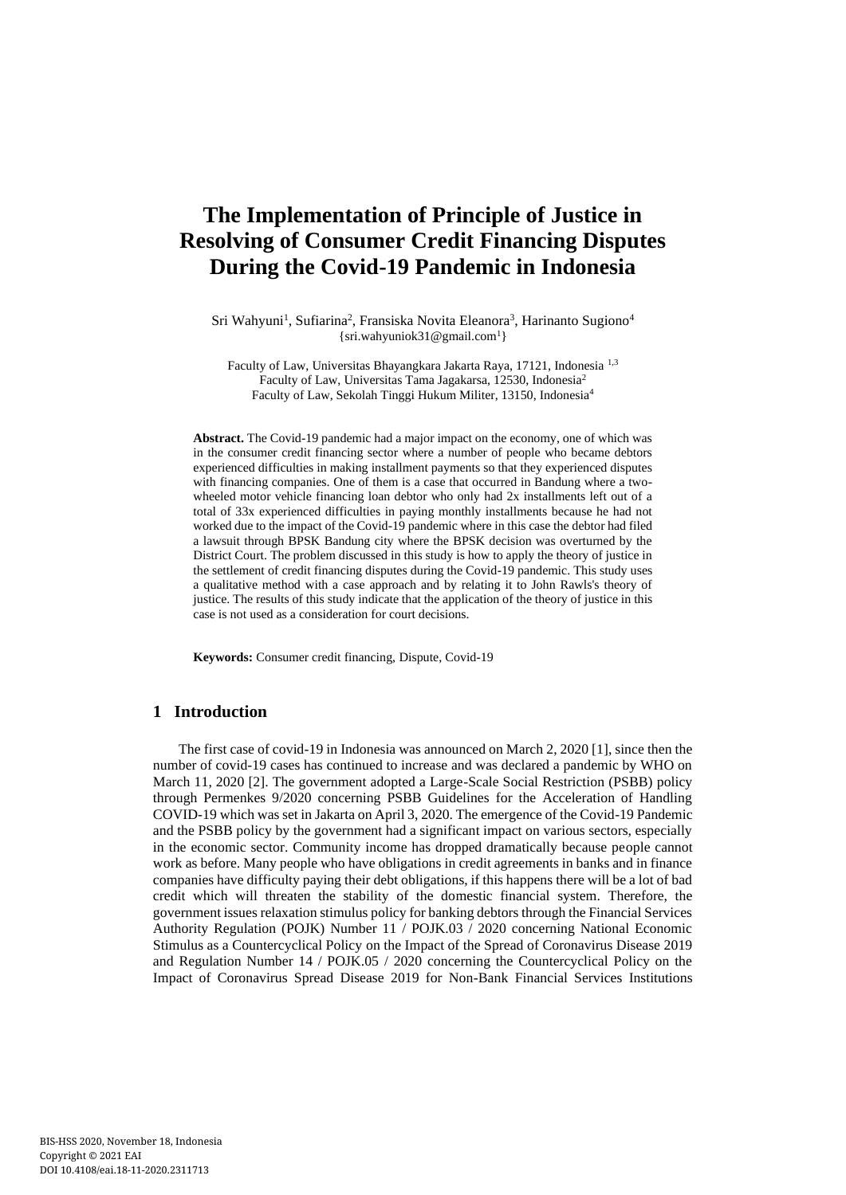# **The Implementation of Principle of Justice in Resolving of Consumer Credit Financing Disputes During the Covid-19 Pandemic in Indonesia**

Sri Wahyuni<sup>1</sup>, Sufiarina<sup>2</sup>, Fransiska Novita Eleanora<sup>3</sup>, Harinanto Sugiono<sup>4</sup>  $\{sri.wahyuniok31@gmail.com<sup>1</sup>\}$  $\{sri.wahyuniok31@gmail.com<sup>1</sup>\}$  $\{sri.wahyuniok31@gmail.com<sup>1</sup>\}$ 

Faculty of Law, Universitas Bhayangkara Jakarta Raya, 17121, Indonesia 1,3 Faculty of Law, Universitas Tama Jagakarsa, 12530, Indonesia<sup>2</sup> Faculty of Law, Sekolah Tinggi Hukum Militer, 13150, Indonesia<sup>4</sup>

**Abstract.** The Covid-19 pandemic had a major impact on the economy, one of which was in the consumer credit financing sector where a number of people who became debtors experienced difficulties in making installment payments so that they experienced disputes with financing companies. One of them is a case that occurred in Bandung where a twowheeled motor vehicle financing loan debtor who only had 2x installments left out of a total of 33x experienced difficulties in paying monthly installments because he had not worked due to the impact of the Covid-19 pandemic where in this case the debtor had filed a lawsuit through BPSK Bandung city where the BPSK decision was overturned by the District Court. The problem discussed in this study is how to apply the theory of justice in the settlement of credit financing disputes during the Covid-19 pandemic. This study uses a qualitative method with a case approach and by relating it to John Rawls's theory of justice. The results of this study indicate that the application of the theory of justice in this case is not used as a consideration for court decisions.

**Keywords:** Consumer credit financing, Dispute, Covid-19

# **1 Introduction**

The first case of covid-19 in Indonesia was announced on March 2, 2020 [1], since then the number of covid-19 cases has continued to increase and was declared a pandemic by WHO on March 11, 2020 [2]. The government adopted a Large-Scale Social Restriction (PSBB) policy through Permenkes 9/2020 concerning PSBB Guidelines for the Acceleration of Handling COVID-19 which was set in Jakarta on April 3, 2020. The emergence of the Covid-19 Pandemic and the PSBB policy by the government had a significant impact on various sectors, especially in the economic sector. Community income has dropped dramatically because people cannot work as before. Many people who have obligations in credit agreements in banks and in finance companies have difficulty paying their debt obligations, if this happens there will be a lot of bad credit which will threaten the stability of the domestic financial system. Therefore, the government issues relaxation stimulus policy for banking debtors through the Financial Services Authority Regulation (POJK) Number 11 / POJK.03 / 2020 concerning National Economic Stimulus as a Countercyclical Policy on the Impact of the Spread of Coronavirus Disease 2019 and Regulation Number 14 / POJK.05 / 2020 concerning the Countercyclical Policy on the Impact of Coronavirus Spread Disease 2019 for Non-Bank Financial Services Institutions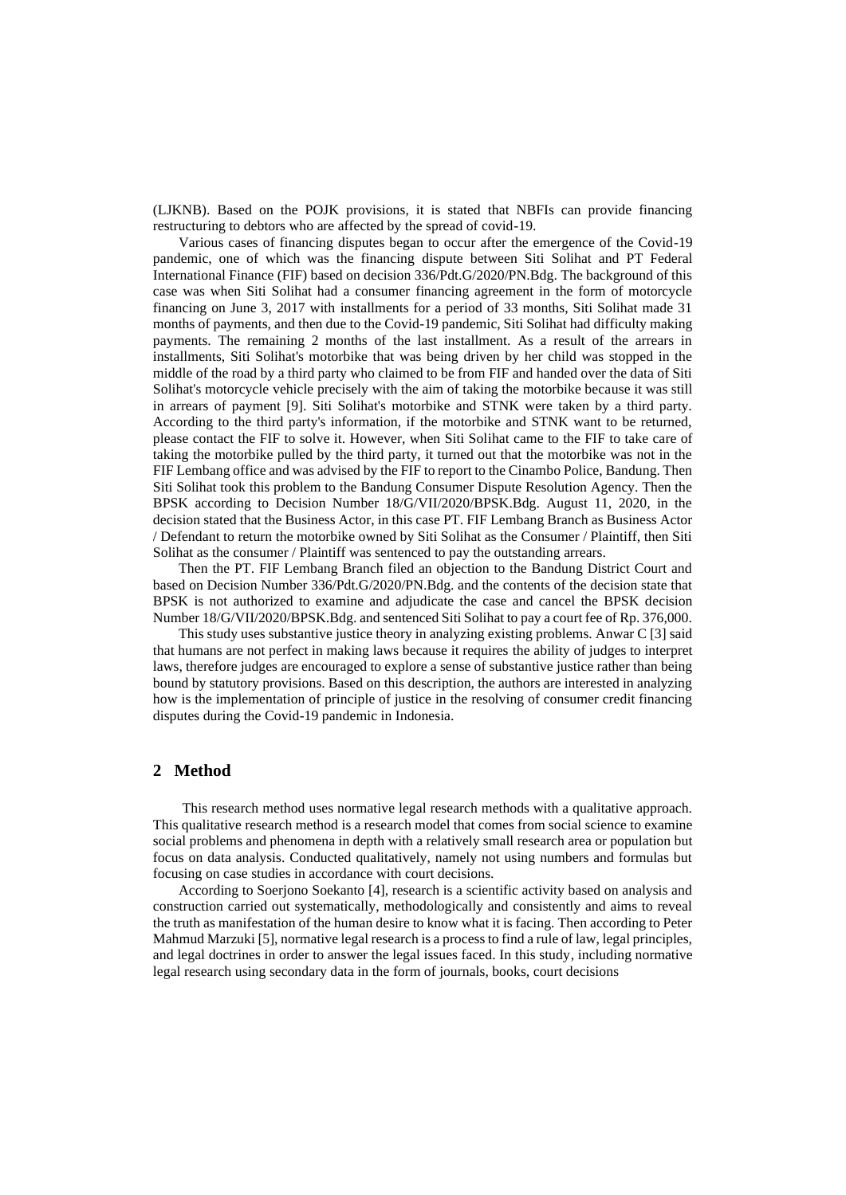(LJKNB). Based on the POJK provisions, it is stated that NBFIs can provide financing restructuring to debtors who are affected by the spread of covid-19.

Various cases of financing disputes began to occur after the emergence of the Covid-19 pandemic, one of which was the financing dispute between Siti Solihat and PT Federal International Finance (FIF) based on decision 336/Pdt.G/2020/PN.Bdg. The background of this case was when Siti Solihat had a consumer financing agreement in the form of motorcycle financing on June 3, 2017 with installments for a period of 33 months, Siti Solihat made 31 months of payments, and then due to the Covid-19 pandemic, Siti Solihat had difficulty making payments. The remaining 2 months of the last installment. As a result of the arrears in installments, Siti Solihat's motorbike that was being driven by her child was stopped in the middle of the road by a third party who claimed to be from FIF and handed over the data of Siti Solihat's motorcycle vehicle precisely with the aim of taking the motorbike because it was still in arrears of payment [9]. Siti Solihat's motorbike and STNK were taken by a third party. According to the third party's information, if the motorbike and STNK want to be returned, please contact the FIF to solve it. However, when Siti Solihat came to the FIF to take care of taking the motorbike pulled by the third party, it turned out that the motorbike was not in the FIF Lembang office and was advised by the FIF to report to the Cinambo Police, Bandung. Then Siti Solihat took this problem to the Bandung Consumer Dispute Resolution Agency. Then the BPSK according to Decision Number 18/G/VII/2020/BPSK.Bdg. August 11, 2020, in the decision stated that the Business Actor, in this case PT. FIF Lembang Branch as Business Actor / Defendant to return the motorbike owned by Siti Solihat as the Consumer / Plaintiff, then Siti Solihat as the consumer / Plaintiff was sentenced to pay the outstanding arrears.

Then the PT. FIF Lembang Branch filed an objection to the Bandung District Court and based on Decision Number 336/Pdt.G/2020/PN.Bdg. and the contents of the decision state that BPSK is not authorized to examine and adjudicate the case and cancel the BPSK decision Number 18/G/VII/2020/BPSK.Bdg. and sentenced Siti Solihat to pay a court fee of Rp. 376,000.

This study uses substantive justice theory in analyzing existing problems. Anwar C [3] said that humans are not perfect in making laws because it requires the ability of judges to interpret laws, therefore judges are encouraged to explore a sense of substantive justice rather than being bound by statutory provisions. Based on this description, the authors are interested in analyzing how is the implementation of principle of justice in the resolving of consumer credit financing disputes during the Covid-19 pandemic in Indonesia.

## **2 Method**

This research method uses normative legal research methods with a qualitative approach. This qualitative research method is a research model that comes from social science to examine social problems and phenomena in depth with a relatively small research area or population but focus on data analysis. Conducted qualitatively, namely not using numbers and formulas but focusing on case studies in accordance with court decisions.

According to Soerjono Soekanto [4], research is a scientific activity based on analysis and construction carried out systematically, methodologically and consistently and aims to reveal the truth as manifestation of the human desire to know what it is facing. Then according to Peter Mahmud Marzuki [5], normative legal research is a process to find a rule of law, legal principles, and legal doctrines in order to answer the legal issues faced. In this study, including normative legal research using secondary data in the form of journals, books, court decisions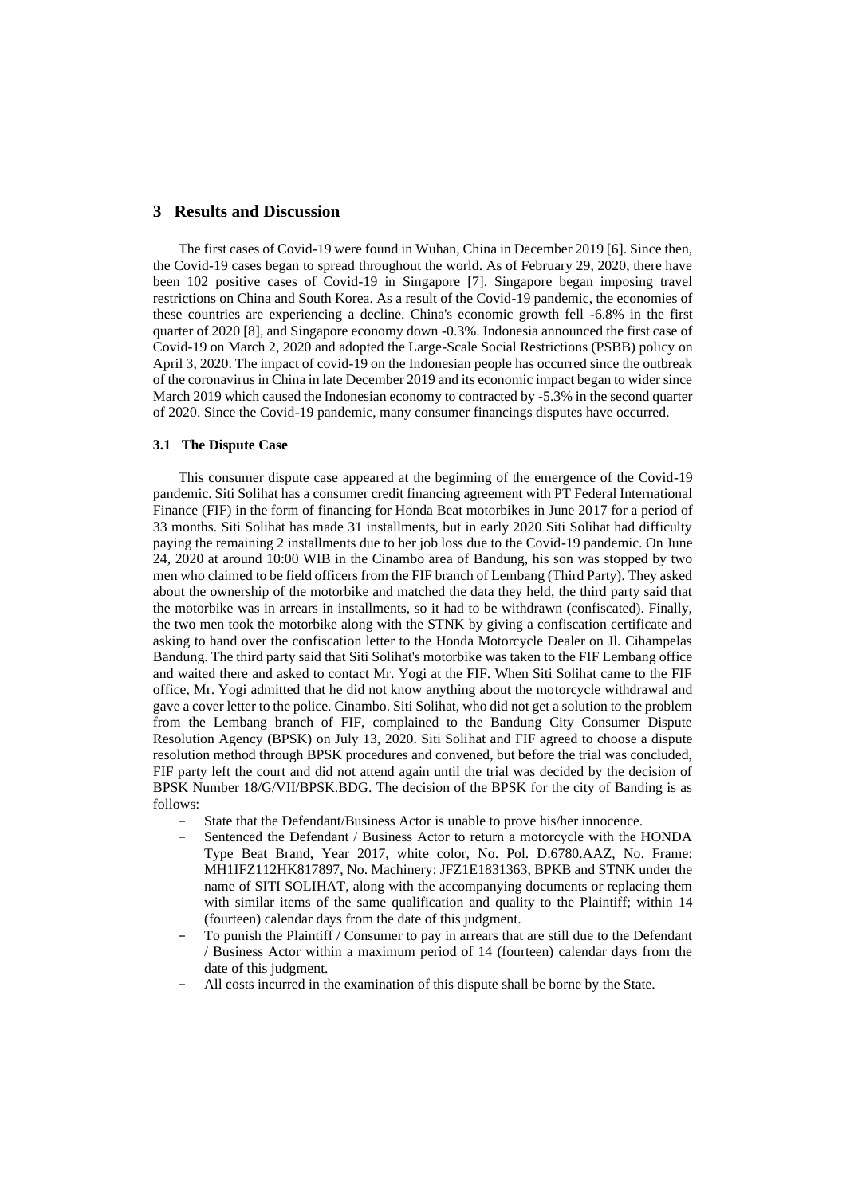# **3 Results and Discussion**

The first cases of Covid-19 were found in Wuhan, China in December 2019 [6]. Since then, the Covid-19 cases began to spread throughout the world. As of February 29, 2020, there have been 102 positive cases of Covid-19 in Singapore [7]. Singapore began imposing travel restrictions on China and South Korea. As a result of the Covid-19 pandemic, the economies of these countries are experiencing a decline. China's economic growth fell -6.8% in the first quarter of 2020 [8], and Singapore economy down -0.3%. Indonesia announced the first case of Covid-19 on March 2, 2020 and adopted the Large-Scale Social Restrictions (PSBB) policy on April 3, 2020. The impact of covid-19 on the Indonesian people has occurred since the outbreak of the coronavirus in China in late December 2019 and its economic impact began to wider since March 2019 which caused the Indonesian economy to contracted by -5.3% in the second quarter of 2020. Since the Covid-19 pandemic, many consumer financings disputes have occurred.

#### **3.1 The Dispute Case**

This consumer dispute case appeared at the beginning of the emergence of the Covid-19 pandemic. Siti Solihat has a consumer credit financing agreement with PT Federal International Finance (FIF) in the form of financing for Honda Beat motorbikes in June 2017 for a period of 33 months. Siti Solihat has made 31 installments, but in early 2020 Siti Solihat had difficulty paying the remaining 2 installments due to her job loss due to the Covid-19 pandemic. On June 24, 2020 at around 10:00 WIB in the Cinambo area of Bandung, his son was stopped by two men who claimed to be field officers from the FIF branch of Lembang (Third Party). They asked about the ownership of the motorbike and matched the data they held, the third party said that the motorbike was in arrears in installments, so it had to be withdrawn (confiscated). Finally, the two men took the motorbike along with the STNK by giving a confiscation certificate and asking to hand over the confiscation letter to the Honda Motorcycle Dealer on Jl. Cihampelas Bandung. The third party said that Siti Solihat's motorbike was taken to the FIF Lembang office and waited there and asked to contact Mr. Yogi at the FIF. When Siti Solihat came to the FIF office, Mr. Yogi admitted that he did not know anything about the motorcycle withdrawal and gave a cover letter to the police. Cinambo. Siti Solihat, who did not get a solution to the problem from the Lembang branch of FIF, complained to the Bandung City Consumer Dispute Resolution Agency (BPSK) on July 13, 2020. Siti Solihat and FIF agreed to choose a dispute resolution method through BPSK procedures and convened, but before the trial was concluded, FIF party left the court and did not attend again until the trial was decided by the decision of BPSK Number 18/G/VII/BPSK.BDG. The decision of the BPSK for the city of Banding is as follows:

- State that the Defendant/Business Actor is unable to prove his/her innocence.
- Sentenced the Defendant / Business Actor to return a motorcycle with the HONDA Type Beat Brand, Year 2017, white color, No. Pol. D.6780.AAZ, No. Frame: MH1IFZ112HK817897, No. Machinery: JFZ1E1831363, BPKB and STNK under the name of SITI SOLIHAT, along with the accompanying documents or replacing them with similar items of the same qualification and quality to the Plaintiff; within 14 (fourteen) calendar days from the date of this judgment.
- To punish the Plaintiff / Consumer to pay in arrears that are still due to the Defendant / Business Actor within a maximum period of 14 (fourteen) calendar days from the date of this judgment.
- − All costs incurred in the examination of this dispute shall be borne by the State.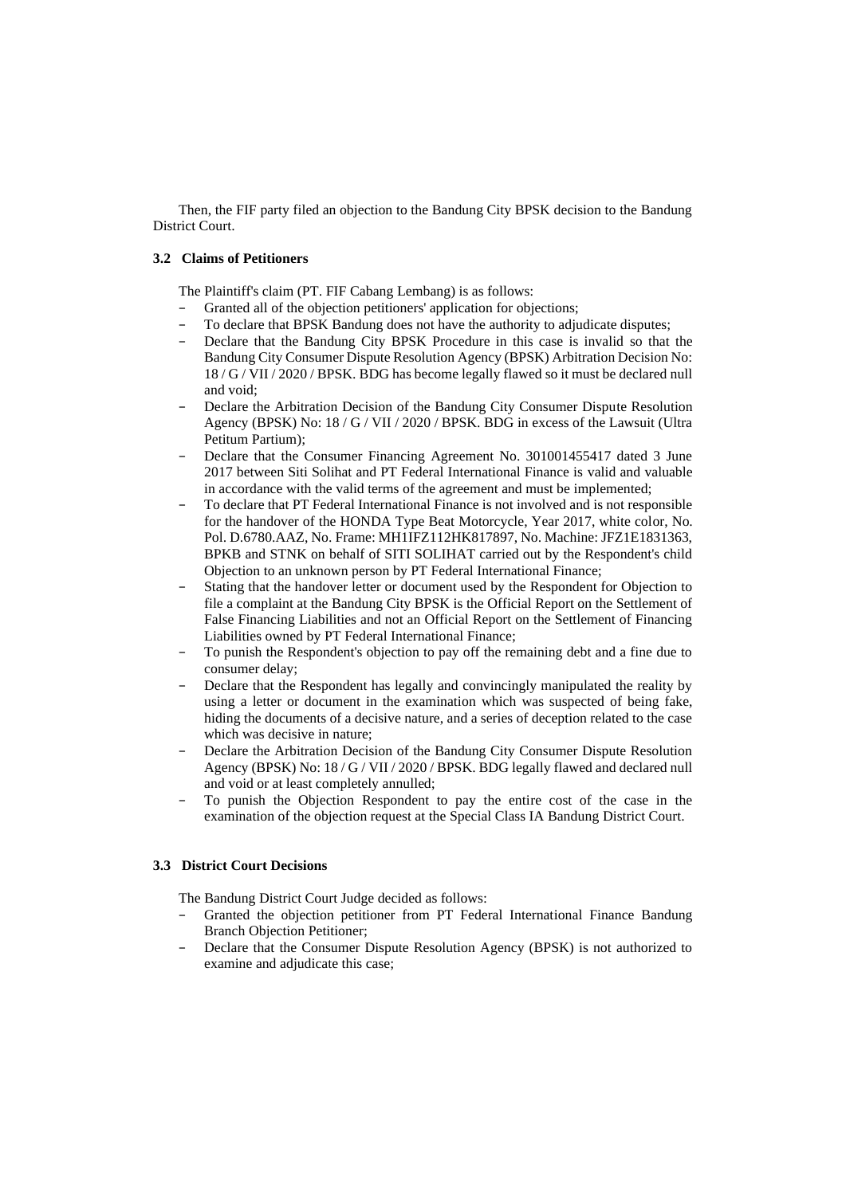Then, the FIF party filed an objection to the Bandung City BPSK decision to the Bandung District Court.

#### **3.2 Claims of Petitioners**

The Plaintiff's claim (PT. FIF Cabang Lembang) is as follows:

- − Granted all of the objection petitioners' application for objections;<br>
− To declare that RPSK Bandung does not have the authority to adju
- To declare that BPSK Bandung does not have the authority to adjudicate disputes;
- Declare that the Bandung City BPSK Procedure in this case is invalid so that the Bandung City Consumer Dispute Resolution Agency (BPSK) Arbitration Decision No: 18 / G / VII / 2020 / BPSK. BDG has become legally flawed so it must be declared null and void;
- Declare the Arbitration Decision of the Bandung City Consumer Dispute Resolution Agency (BPSK) No: 18 / G / VII / 2020 / BPSK. BDG in excess of the Lawsuit (Ultra Petitum Partium);
- Declare that the Consumer Financing Agreement No. 301001455417 dated 3 June 2017 between Siti Solihat and PT Federal International Finance is valid and valuable in accordance with the valid terms of the agreement and must be implemented;
- To declare that PT Federal International Finance is not involved and is not responsible for the handover of the HONDA Type Beat Motorcycle, Year 2017, white color, No. Pol. D.6780.AAZ, No. Frame: MH1IFZ112HK817897, No. Machine: JFZ1E1831363, BPKB and STNK on behalf of SITI SOLIHAT carried out by the Respondent's child Objection to an unknown person by PT Federal International Finance;
- Stating that the handover letter or document used by the Respondent for Objection to file a complaint at the Bandung City BPSK is the Official Report on the Settlement of False Financing Liabilities and not an Official Report on the Settlement of Financing Liabilities owned by PT Federal International Finance;
- To punish the Respondent's objection to pay off the remaining debt and a fine due to consumer delay;
- Declare that the Respondent has legally and convincingly manipulated the reality by using a letter or document in the examination which was suspected of being fake, hiding the documents of a decisive nature, and a series of deception related to the case which was decisive in nature;
- Declare the Arbitration Decision of the Bandung City Consumer Dispute Resolution Agency (BPSK) No: 18 / G / VII / 2020 / BPSK. BDG legally flawed and declared null and void or at least completely annulled;
- To punish the Objection Respondent to pay the entire cost of the case in the examination of the objection request at the Special Class IA Bandung District Court.

#### **3.3 District Court Decisions**

The Bandung District Court Judge decided as follows:

- Granted the objection petitioner from PT Federal International Finance Bandung Branch Objection Petitioner;
- Declare that the Consumer Dispute Resolution Agency (BPSK) is not authorized to examine and adjudicate this case;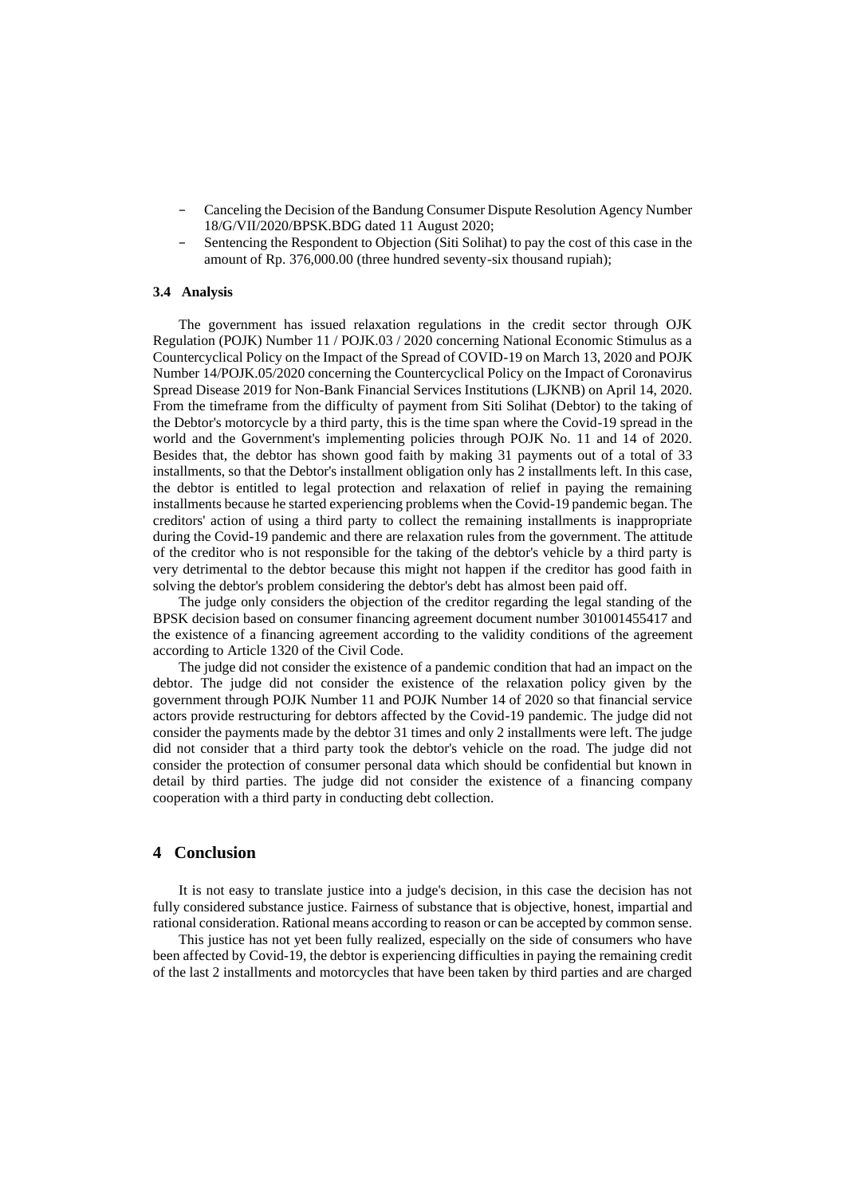- Canceling the Decision of the Bandung Consumer Dispute Resolution Agency Number 18/G/VII/2020/BPSK.BDG dated 11 August 2020;
- Sentencing the Respondent to Objection (Siti Solihat) to pay the cost of this case in the amount of Rp. 376,000.00 (three hundred seventy-six thousand rupiah);

#### **3.4 Analysis**

The government has issued relaxation regulations in the credit sector through OJK Regulation (POJK) Number 11 / POJK.03 / 2020 concerning National Economic Stimulus as a Countercyclical Policy on the Impact of the Spread of COVID-19 on March 13, 2020 and POJK Number 14/POJK.05/2020 concerning the Countercyclical Policy on the Impact of Coronavirus Spread Disease 2019 for Non-Bank Financial Services Institutions (LJKNB) on April 14, 2020. From the timeframe from the difficulty of payment from Siti Solihat (Debtor) to the taking of the Debtor's motorcycle by a third party, this is the time span where the Covid-19 spread in the world and the Government's implementing policies through POJK No. 11 and 14 of 2020. Besides that, the debtor has shown good faith by making 31 payments out of a total of 33 installments, so that the Debtor's installment obligation only has 2 installments left. In this case, the debtor is entitled to legal protection and relaxation of relief in paying the remaining installments because he started experiencing problems when the Covid-19 pandemic began. The creditors' action of using a third party to collect the remaining installments is inappropriate during the Covid-19 pandemic and there are relaxation rules from the government. The attitude of the creditor who is not responsible for the taking of the debtor's vehicle by a third party is very detrimental to the debtor because this might not happen if the creditor has good faith in solving the debtor's problem considering the debtor's debt has almost been paid off.

The judge only considers the objection of the creditor regarding the legal standing of the BPSK decision based on consumer financing agreement document number 301001455417 and the existence of a financing agreement according to the validity conditions of the agreement according to Article 1320 of the Civil Code.

The judge did not consider the existence of a pandemic condition that had an impact on the debtor. The judge did not consider the existence of the relaxation policy given by the government through POJK Number 11 and POJK Number 14 of 2020 so that financial service actors provide restructuring for debtors affected by the Covid-19 pandemic. The judge did not consider the payments made by the debtor 31 times and only 2 installments were left. The judge did not consider that a third party took the debtor's vehicle on the road. The judge did not consider the protection of consumer personal data which should be confidential but known in detail by third parties. The judge did not consider the existence of a financing company cooperation with a third party in conducting debt collection.

## **4 Conclusion**

It is not easy to translate justice into a judge's decision, in this case the decision has not fully considered substance justice. Fairness of substance that is objective, honest, impartial and rational consideration. Rational means according to reason or can be accepted by common sense.

This justice has not yet been fully realized, especially on the side of consumers who have been affected by Covid-19, the debtor is experiencing difficulties in paying the remaining credit of the last 2 installments and motorcycles that have been taken by third parties and are charged